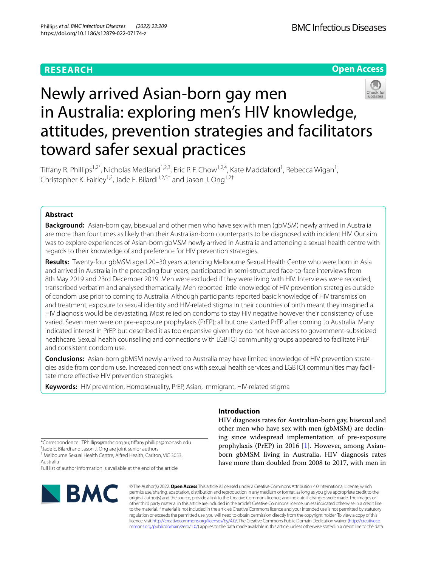## **RESEARCH**





# Newly arrived Asian-born gay men in Australia: exploring men's HIV knowledge, attitudes, prevention strategies and facilitators toward safer sexual practices

Tiffany R. Phillips<sup>1,2\*</sup>, Nicholas Medland<sup>1,2,3</sup>, Eric P. F. Chow<sup>1,2,4</sup>, Kate Maddaford<sup>1</sup>, Rebecca Wigan<sup>1</sup>, Christopher K. Fairley<sup>1,2</sup>, Jade E. Bilardi<sup>1,2,5†</sup> and Jason J. Ong<sup>1,2†</sup>

## **Abstract**

**Background:** Asian-born gay, bisexual and other men who have sex with men (gbMSM) newly arrived in Australia are more than four times as likely than their Australian-born counterparts to be diagnosed with incident HIV. Our aim was to explore experiences of Asian-born gbMSM newly arrived in Australia and attending a sexual health centre with regards to their knowledge of and preference for HIV prevention strategies.

**Results:** Twenty-four gbMSM aged 20–30 years attending Melbourne Sexual Health Centre who were born in Asia and arrived in Australia in the preceding four years, participated in semi-structured face-to-face interviews from 8th May 2019 and 23rd December 2019. Men were excluded if they were living with HIV. Interviews were recorded, transcribed verbatim and analysed thematically. Men reported little knowledge of HIV prevention strategies outside of condom use prior to coming to Australia. Although participants reported basic knowledge of HIV transmission and treatment, exposure to sexual identity and HIV-related stigma in their countries of birth meant they imagined a HIV diagnosis would be devastating. Most relied on condoms to stay HIV negative however their consistency of use varied. Seven men were on pre-exposure prophylaxis (PrEP); all but one started PrEP after coming to Australia. Many indicated interest in PrEP but described it as too expensive given they do not have access to government-subsidized healthcare. Sexual health counselling and connections with LGBTQI community groups appeared to facilitate PrEP and consistent condom use.

**Conclusions:** Asian-born gbMSM newly-arrived to Australia may have limited knowledge of HIV prevention strategies aside from condom use. Increased connections with sexual health services and LGBTQI communities may facilitate more effective HIV prevention strategies.

**Keywords:** HIV prevention, Homosexuality, PrEP, Asian, Immigrant, HIV-related stigma

**Introduction**

HIV diagnosis rates for Australian-born gay, bisexual and other men who have sex with men (gbMSM) are declining since widespread implementation of pre-exposure prophylaxis (PrEP) in 2016 [\[1](#page-11-0)]. However, among Asianborn gbMSM living in Australia, HIV diagnosis rates have more than doubled from 2008 to 2017, with men in

\*Correspondence: TPhillips@mshc.org.au; tifany.phillips@monash.edu † Jade E. Bilardi and Jason J. Ong are joint senior authors

<sup>1</sup> Melbourne Sexual Health Centre, Alfred Health, Carlton, VIC 3053, Australia

Full list of author information is available at the end of the article



© The Author(s) 2022. **Open Access** This article is licensed under a Creative Commons Attribution 4.0 International License, which permits use, sharing, adaptation, distribution and reproduction in any medium or format, as long as you give appropriate credit to the original author(s) and the source, provide a link to the Creative Commons licence, and indicate if changes were made. The images or other third party material in this article are included in the article's Creative Commons licence, unless indicated otherwise in a credit line to the material. If material is not included in the article's Creative Commons licence and your intended use is not permitted by statutory regulation or exceeds the permitted use, you will need to obtain permission directly from the copyright holder. To view a copy of this licence, visit [http://creativecommons.org/licenses/by/4.0/.](http://creativecommons.org/licenses/by/4.0/) The Creative Commons Public Domain Dedication waiver ([http://creativeco](http://creativecommons.org/publicdomain/zero/1.0/) [mmons.org/publicdomain/zero/1.0/](http://creativecommons.org/publicdomain/zero/1.0/)) applies to the data made available in this article, unless otherwise stated in a credit line to the data.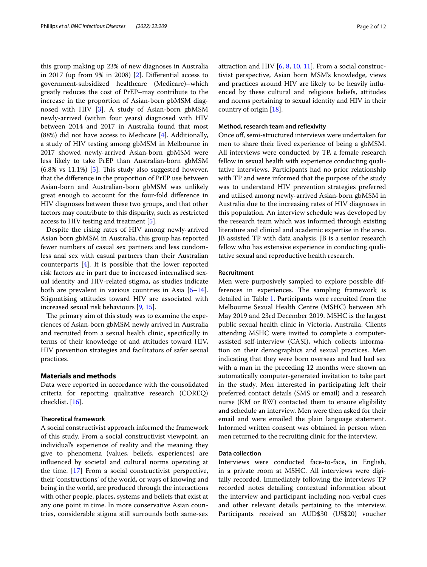this group making up 23% of new diagnoses in Australia in 2017 (up from 9% in 2008) [\[2](#page-11-1)]. Diferential access to government-subsidized healthcare (Medicare)–which greatly reduces the cost of PrEP–may contribute to the increase in the proportion of Asian-born gbMSM diagnosed with HIV [\[3](#page-11-2)]. A study of Asian-born gbMSM newly-arrived (within four years) diagnosed with HIV between 2014 and 2017 in Australia found that most (88%) did not have access to Medicare [[4](#page-11-3)]. Additionally, a study of HIV testing among gbMSM in Melbourne in 2017 showed newly-arrived Asian-born gbMSM were less likely to take PrEP than Australian-born gbMSM  $(6.8\% \text{ vs } 11.1\%)$  [\[5\]](#page-11-4). This study also suggested however, that the diference in the proportion of PrEP use between Asian-born and Australian-born gbMSM was unlikely great enough to account for the four-fold diference in HIV diagnoses between these two groups, and that other factors may contribute to this disparity, such as restricted access to HIV testing and treatment [\[5](#page-11-4)].

Despite the rising rates of HIV among newly-arrived Asian born gbMSM in Australia, this group has reported fewer numbers of casual sex partners and less condomless anal sex with casual partners than their Australian counterparts [[4\]](#page-11-3). It is possible that the lower reported risk factors are in part due to increased internalised sexual identity and HIV-related stigma, as studies indicate both are prevalent in various countries in Asia [\[6](#page-11-5)[–14](#page-11-6)]. Stigmatising attitudes toward HIV are associated with increased sexual risk behaviours [\[9](#page-11-7), [15\]](#page-11-8).

The primary aim of this study was to examine the experiences of Asian-born gbMSM newly arrived in Australia and recruited from a sexual health clinic, specifcally in terms of their knowledge of and attitudes toward HIV, HIV prevention strategies and facilitators of safer sexual practices.

#### **Materials and methods**

Data were reported in accordance with the consolidated criteria for reporting qualitative research (COREQ) checklist. [[16](#page-11-9)].

#### **Theoretical framework**

A social constructivist approach informed the framework of this study. From a social constructivist viewpoint, an individual's experience of reality and the meaning they give to phenomena (values, beliefs, experiences) are infuenced by societal and cultural norms operating at the time. [\[17\]](#page-11-10) From a social constructivist perspective, their 'constructions' of the world, or ways of knowing and being in the world, are produced through the interactions with other people, places, systems and beliefs that exist at any one point in time. In more conservative Asian countries, considerable stigma still surrounds both same-sex attraction and HIV  $[6, 8, 10, 11]$  $[6, 8, 10, 11]$  $[6, 8, 10, 11]$  $[6, 8, 10, 11]$  $[6, 8, 10, 11]$  $[6, 8, 10, 11]$  $[6, 8, 10, 11]$  $[6, 8, 10, 11]$ . From a social constructivist perspective, Asian born MSM's knowledge, views and practices around HIV are likely to be heavily infuenced by these cultural and religious beliefs, attitudes and norms pertaining to sexual identity and HIV in their country of origin [\[18](#page-11-14)].

#### **Method, research team and refexivity**

Once of, semi-structured interviews were undertaken for men to share their lived experience of being a gbMSM. All interviews were conducted by TP, a female research fellow in sexual health with experience conducting qualitative interviews. Participants had no prior relationship with TP and were informed that the purpose of the study was to understand HIV prevention strategies preferred and utilised among newly-arrived Asian-born gbMSM in Australia due to the increasing rates of HIV diagnoses in this population. An interview schedule was developed by the research team which was informed through existing literature and clinical and academic expertise in the area. JB assisted TP with data analysis. JB is a senior research fellow who has extensive experience in conducting qualitative sexual and reproductive health research.

#### **Recruitment**

Men were purposively sampled to explore possible differences in experiences. The sampling framework is detailed in Table [1.](#page-2-0) Participants were recruited from the Melbourne Sexual Health Centre (MSHC) between 8th May 2019 and 23rd December 2019. MSHC is the largest public sexual health clinic in Victoria, Australia. Clients attending MSHC were invited to complete a computerassisted self-interview (CASI), which collects information on their demographics and sexual practices. Men indicating that they were born overseas and had had sex with a man in the preceding 12 months were shown an automatically computer-generated invitation to take part in the study. Men interested in participating left their preferred contact details (SMS or email) and a research nurse (KM or RW) contacted them to ensure eligibility and schedule an interview. Men were then asked for their email and were emailed the plain language statement. Informed written consent was obtained in person when men returned to the recruiting clinic for the interview.

## **Data collection**

Interviews were conducted face-to-face, in English, in a private room at MSHC. All interviews were digitally recorded. Immediately following the interviews TP recorded notes detailing contextual information about the interview and participant including non-verbal cues and other relevant details pertaining to the interview. Participants received an AUD\$30 (US\$20) voucher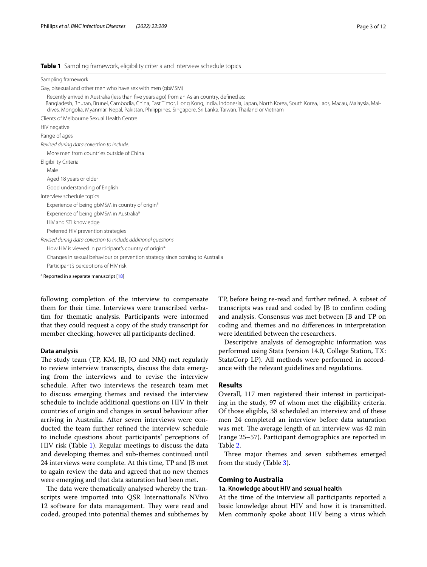#### <span id="page-2-0"></span>**Table 1** Sampling framework, eligibility criteria and interview schedule topics

| Sampling framework                                                                                                                                                                                                                                                                                                                                             |
|----------------------------------------------------------------------------------------------------------------------------------------------------------------------------------------------------------------------------------------------------------------------------------------------------------------------------------------------------------------|
| Gay, bisexual and other men who have sex with men (qbMSM)                                                                                                                                                                                                                                                                                                      |
| Recently arrived in Australia (less than five years ago) from an Asian country, defined as:<br>Bangladesh, Bhutan, Brunei, Cambodia, China, East Timor, Hong Kong, India, Indonesia, Japan, North Korea, South Korea, Laos, Macau, Malaysia, Mal-<br>dives, Mongolia, Myanmar, Nepal, Pakistan, Philippines, Singapore, Sri Lanka, Taiwan, Thailand or Vietnam |
| Clients of Melbourne Sexual Health Centre                                                                                                                                                                                                                                                                                                                      |
| HIV negative                                                                                                                                                                                                                                                                                                                                                   |
| Range of ages                                                                                                                                                                                                                                                                                                                                                  |
| Revised during data collection to include:                                                                                                                                                                                                                                                                                                                     |
| More men from countries outside of China                                                                                                                                                                                                                                                                                                                       |
| Eligibility Criteria                                                                                                                                                                                                                                                                                                                                           |
| Male                                                                                                                                                                                                                                                                                                                                                           |
| Aged 18 years or older                                                                                                                                                                                                                                                                                                                                         |
| Good understanding of English                                                                                                                                                                                                                                                                                                                                  |
| Interview schedule topics                                                                                                                                                                                                                                                                                                                                      |
| Experience of being gbMSM in country of origin <sup>a</sup>                                                                                                                                                                                                                                                                                                    |
| Experience of being gbMSM in Australia*                                                                                                                                                                                                                                                                                                                        |
| HIV and STI knowledge                                                                                                                                                                                                                                                                                                                                          |
| Preferred HIV prevention strategies                                                                                                                                                                                                                                                                                                                            |
| Revised during data collection to include additional questions                                                                                                                                                                                                                                                                                                 |
| How HIV is viewed in participant's country of origin*                                                                                                                                                                                                                                                                                                          |
| Changes in sexual behaviour or prevention strategy since coming to Australia                                                                                                                                                                                                                                                                                   |
| Participant's perceptions of HIV risk                                                                                                                                                                                                                                                                                                                          |
| <sup>a</sup> Reported in a separate manuscript [18]                                                                                                                                                                                                                                                                                                            |

following completion of the interview to compensate them for their time. Interviews were transcribed verbatim for thematic analysis. Participants were informed that they could request a copy of the study transcript for member checking, however all participants declined.

#### **Data analysis**

The study team (TP, KM, JB, JO and NM) met regularly to review interview transcripts, discuss the data emerging from the interviews and to revise the interview schedule. After two interviews the research team met to discuss emerging themes and revised the interview schedule to include additional questions on HIV in their countries of origin and changes in sexual behaviour after arriving in Australia. After seven interviews were conducted the team further refned the interview schedule to include questions about participants' perceptions of HIV risk (Table [1\)](#page-2-0). Regular meetings to discuss the data and developing themes and sub-themes continued until 24 interviews were complete. At this time, TP and JB met to again review the data and agreed that no new themes were emerging and that data saturation had been met.

The data were thematically analysed whereby the transcripts were imported into QSR International's NVivo 12 software for data management. They were read and coded, grouped into potential themes and subthemes by TP, before being re-read and further refned. A subset of transcripts was read and coded by JB to confrm coding and analysis. Consensus was met between JB and TP on coding and themes and no diferences in interpretation were identifed between the researchers.

Descriptive analysis of demographic information was performed using Stata (version 14.0, College Station, TX: StataCorp LP). All methods were performed in accordance with the relevant guidelines and regulations.

#### **Results**

Overall, 117 men registered their interest in participating in the study, 97 of whom met the eligibility criteria. Of those eligible, 38 scheduled an interview and of these men 24 completed an interview before data saturation was met. The average length of an interview was 42 min (range 25–57). Participant demographics are reported in Table [2](#page-3-0).

Three major themes and seven subthemes emerged from the study (Table [3\)](#page-3-1).

#### **Coming to Australia**

#### **1a. Knowledge about HIV and sexual health**

At the time of the interview all participants reported a basic knowledge about HIV and how it is transmitted. Men commonly spoke about HIV being a virus which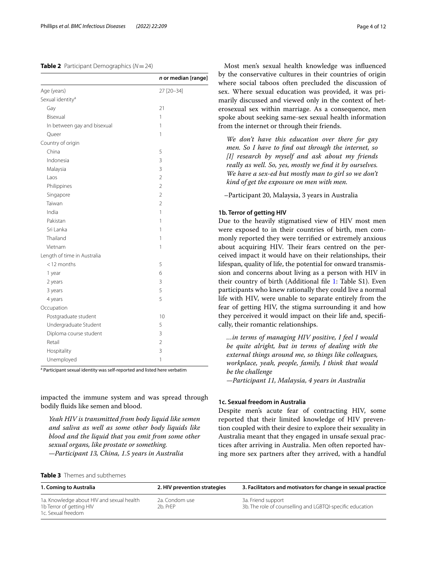#### <span id="page-3-0"></span>**Table 2** Participant Demographics (*N*=24)

|                              | n or median [range] |
|------------------------------|---------------------|
| Age (years)                  | 27 [20-34]          |
| Sexual identity <sup>a</sup> |                     |
| Gay                          | 21                  |
| Bisexual                     | 1                   |
| In between gay and bisexual  | 1                   |
| Queer                        | 1                   |
| Country of origin            |                     |
| China                        | 5                   |
| Indonesia                    | $\overline{3}$      |
| Malaysia                     | $\overline{3}$      |
| Laos                         | $\overline{2}$      |
| Philippines                  | $\overline{2}$      |
| Singapore                    | $\overline{2}$      |
| Taiwan                       | $\overline{2}$      |
| India                        | 1                   |
| Pakistan                     | 1                   |
| Sri Lanka                    | 1                   |
| Thailand                     | 1                   |
| Vietnam                      | 1                   |
| Length of time in Australia  |                     |
| $<$ 12 months                | 5                   |
| 1 year                       | 6                   |
| 2 years                      | 3                   |
| 3 years                      | 5                   |
| 4 years                      | 5                   |
| Occupation                   |                     |
| Postgraduate student         | 10                  |
| Undergraduate Student        | 5                   |
| Diploma course student       | 3                   |
| Retail                       | $\overline{2}$      |
| Hospitality                  | 3                   |
| Unemployed                   | 1                   |

<sup>a</sup> Participant sexual identity was self-reported and listed here verbatim

impacted the immune system and was spread through bodily fuids like semen and blood.

*Yeah HIV is transmitted from body liquid like semen and saliva as well as some other body liquids like blood and the liquid that you emit from some other sexual organs, like prostate or something. —Participant 13, China, 1.5 years in Australia*

Most men's sexual health knowledge was infuenced by the conservative cultures in their countries of origin where social taboos often precluded the discussion of sex. Where sexual education was provided, it was primarily discussed and viewed only in the context of heterosexual sex within marriage. As a consequence, men spoke about seeking same-sex sexual health information from the internet or through their friends.

*We don't have this education over there for gay men. So I have to fnd out through the internet, so [I] research by myself and ask about my friends really as well. So, yes, mostly we fnd it by ourselves. We have a sex-ed but mostly man to girl so we don't kind of get the exposure on men with men.*

–Participant 20, Malaysia, 3 years in Australia

#### **1b. Terror of getting HIV**

Due to the heavily stigmatised view of HIV most men were exposed to in their countries of birth, men commonly reported they were terrifed or extremely anxious about acquiring HIV. Their fears centred on the perceived impact it would have on their relationships, their lifespan, quality of life, the potential for onward transmission and concerns about living as a person with HIV in their country of birth (Additional fle [1:](#page-10-0) Table S1). Even participants who knew rationally they could live a normal life with HIV, were unable to separate entirely from the fear of getting HIV, the stigma surrounding it and how they perceived it would impact on their life and, specifcally, their romantic relationships.

*…in terms of managing HIV positive, I feel I would be quite alright, but in terms of dealing with the external things around me, so things like colleagues, workplace, yeah, people, family, I think that would be the challenge*

*—Participant 11, Malaysia, 4 years in Australia*

#### **1c. Sexual freedom in Australia**

Despite men's acute fear of contracting HIV, some reported that their limited knowledge of HIV prevention coupled with their desire to explore their sexuality in Australia meant that they engaged in unsafe sexual practices after arriving in Australia. Men often reported having more sex partners after they arrived, with a handful

<span id="page-3-1"></span>

| <b>Table 3</b> Themes and subthemes |
|-------------------------------------|
|-------------------------------------|

| 1. Coming to Australia                                                                      | 2. HIV prevention strategies | 3. Facilitators and motivators for change in sexual practice                    |
|---------------------------------------------------------------------------------------------|------------------------------|---------------------------------------------------------------------------------|
| 1a. Knowledge about HIV and sexual health<br>1b Terror of getting HIV<br>1c. Sexual freedom | 2a. Condom use<br>2b. PrFP   | 3a. Friend support<br>3b. The role of counselling and LGBTQI-specific education |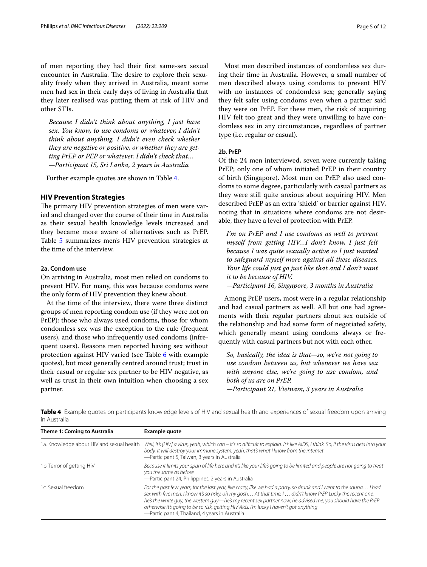of men reporting they had their frst same-sex sexual encounter in Australia. The desire to explore their sexuality freely when they arrived in Australia, meant some men had sex in their early days of living in Australia that they later realised was putting them at risk of HIV and other STIs.

*Because I didn't think about anything, I just have sex. You know, to use condoms or whatever, I didn't think about anything. I didn't even check whether they are negative or positive, or whether they are getting PrEP or PEP or whatever. I didn't check that… —Participant 15, Sri Lanka, 2 years in Australia*

Further example quotes are shown in Table [4.](#page-4-0)

#### **HIV Prevention Strategies**

The primary HIV prevention strategies of men were varied and changed over the course of their time in Australia as their sexual health knowledge levels increased and they became more aware of alternatives such as PrEP. Table [5](#page-5-0) summarizes men's HIV prevention strategies at the time of the interview.

## **2a. Condom use**

On arriving in Australia, most men relied on condoms to prevent HIV. For many, this was because condoms were the only form of HIV prevention they knew about.

At the time of the interview, there were three distinct groups of men reporting condom use (if they were not on PrEP): those who always used condoms, those for whom condomless sex was the exception to the rule (frequent users), and those who infrequently used condoms (infrequent users). Reasons men reported having sex without protection against HIV varied (see Table [6](#page-6-0) with example quotes), but most generally centred around trust; trust in their casual or regular sex partner to be HIV negative, as well as trust in their own intuition when choosing a sex partner.

**Theme 1: Coming to Australia Example quote**

Most men described instances of condomless sex during their time in Australia. However, a small number of men described always using condoms to prevent HIV with no instances of condomless sex; generally saying they felt safer using condoms even when a partner said they were on PrEP. For these men, the risk of acquiring HIV felt too great and they were unwilling to have condomless sex in any circumstances, regardless of partner type (i.e. regular or casual).

## **2b. PrEP**

Of the 24 men interviewed, seven were currently taking PrEP; only one of whom initiated PrEP in their country of birth (Singapore). Most men on PrEP also used condoms to some degree, particularly with casual partners as they were still quite anxious about acquiring HIV. Men described PrEP as an extra 'shield' or barrier against HIV, noting that in situations where condoms are not desirable, they have a level of protection with PrEP.

*I'm on PrEP and I use condoms as well to prevent myself from getting HIV…I don't know, I just felt because I was quite sexually active so I just wanted to safeguard myself more against all these diseases. Your life could just go just like that and I don't want it to be because of HIV.*

*—Participant 16, Singapore, 3 months in Australia*

Among PrEP users, most were in a regular relationship and had casual partners as well. All but one had agreements with their regular partners about sex outside of the relationship and had some form of negotiated safety, which generally meant using condoms always or frequently with casual partners but not with each other.

*So, basically, the idea is that—so, we're not going to use condom between us, but whenever we have sex with anyone else, we're going to use condom, and both of us are on PrEP. —Participant 21, Vietnam, 3 years in Australia*

<span id="page-4-0"></span>**Table 4** Example quotes on participants knowledge levels of HIV and sexual health and experiences of sexual freedom upon arriving in Australia

| Theme 1: Coming to Australia              | Example quote                                                                                                                                                                                                                                                                                                                                                                                                                                                                                 |
|-------------------------------------------|-----------------------------------------------------------------------------------------------------------------------------------------------------------------------------------------------------------------------------------------------------------------------------------------------------------------------------------------------------------------------------------------------------------------------------------------------------------------------------------------------|
| 1a. Knowledge about HIV and sexual health | Well, it's [HIV] a virus, yeah, which can – it's so difficult to explain. It's like AIDS, I think. So, if the virus gets into your<br>body, it will destroy your immune system, yeah, that's what I know from the internet<br>-Participant 5, Taiwan, 3 years in Australia                                                                                                                                                                                                                    |
| 1b. Terror of getting HIV                 | Because it limits your span of life here and it's like your life's going to be limited and people are not going to treat<br>you the same as before<br>-Participant 24, Philippines, 2 years in Australia                                                                                                                                                                                                                                                                                      |
| 1c. Sexual freedom                        | For the past few years, for the last year, like crazy, like we had a party, so drunk and I went to the sauna I had<br>sex with five men, I know it's so risky, oh my gosh At that time, I  didn't know PrEP. Lucky the recent one,<br>he's the white guy, the western guy—he's my recent sex partner now, he advised me, you should have the PrEP<br>otherwise it's going to be so risk, getting HIV Aids. I'm lucky I haven't got anything<br>-Participant 4, Thailand, 4 years in Australia |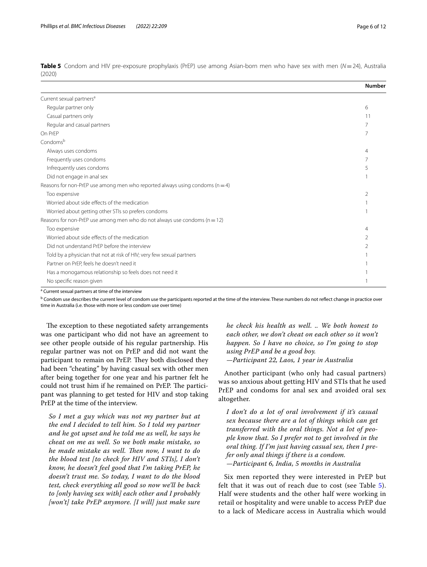|                                                                                  | <b>Number</b>  |
|----------------------------------------------------------------------------------|----------------|
| Current sexual partners <sup>a</sup>                                             |                |
| Regular partner only                                                             | 6              |
| Casual partners only                                                             | 11             |
| Regular and casual partners                                                      |                |
| On PrEP                                                                          | 7              |
| Condomsb                                                                         |                |
| Always uses condoms                                                              | $\overline{4}$ |
| Frequently uses condoms                                                          | 7              |
| Infrequently uses condoms                                                        | 5              |
| Did not engage in anal sex                                                       |                |
| Reasons for non-PrEP use among men who reported always using condoms ( $n = 4$ ) |                |
| Too expensive                                                                    | $\mathcal{P}$  |
| Worried about side effects of the medication                                     |                |
| Worried about getting other STIs so prefers condoms                              |                |
| Reasons for non-PrEP use among men who do not always use condoms ( $n = 12$ )    |                |
| Too expensive                                                                    | $\overline{4}$ |
| Worried about side effects of the medication                                     | 2              |
| Did not understand PrFP before the interview                                     | 2              |
| Told by a physician that not at risk of HIV; very few sexual partners            |                |
| Partner on PrEP, feels he doesn't need it                                        |                |
| Has a monogamous relationship so feels does not need it                          |                |
| No specific reason given                                                         |                |

<span id="page-5-0"></span>**Table 5** Condom and HIV pre-exposure prophylaxis (PrEP) use among Asian-born men who have sex with men (*N*=24), Australia (2020)

<sup>a</sup> Current sexual partners at time of the interview

<sup>b</sup> Condom use describes the current level of condom use the participants reported at the time of the interview. These numbers do not reflect change in practice over time in Australia (i.e. those with more or less condom use over time)

The exception to these negotiated safety arrangements was one participant who did not have an agreement to see other people outside of his regular partnership. His regular partner was not on PrEP and did not want the participant to remain on PrEP. They both disclosed they had been "cheating" by having casual sex with other men after being together for one year and his partner felt he could not trust him if he remained on PrEP. The participant was planning to get tested for HIV and stop taking PrEP at the time of the interview.

*So I met a guy which was not my partner but at the end I decided to tell him. So I told my partner and he got upset and he told me as well, he says he cheat on me as well. So we both make mistake, so he made mistake as well. Then now, I want to do the blood test [to check for HIV and STIs], I don't know, he doesn't feel good that I'm taking PrEP, he doesn't trust me. So today, I want to do the blood test, check everything all good so now we'll be back to [only having sex with] each other and I probably [won't] take PrEP anymore. [I will] just make sure* 

*he check his health as well. .. We both honest to each other, we don't cheat on each other so it won't happen. So I have no choice, so I'm going to stop using PrEP and be a good boy. —Participant 22, Laos, 1 year in Australia*

Another participant (who only had casual partners) was so anxious about getting HIV and STIs that he used PrEP and condoms for anal sex and avoided oral sex altogether.

*I don't do a lot of oral involvement if it's casual sex because there are a lot of things which can get transferred with the oral things. Not a lot of people know that. So I prefer not to get involved in the oral thing. If I'm just having casual sex, then I prefer only anal things if there is a condom. —Participant 6, India, 5 months in Australia*

Six men reported they were interested in PrEP but felt that it was out of reach due to cost (see Table [5](#page-5-0)). Half were students and the other half were working in retail or hospitality and were unable to access PrEP due to a lack of Medicare access in Australia which would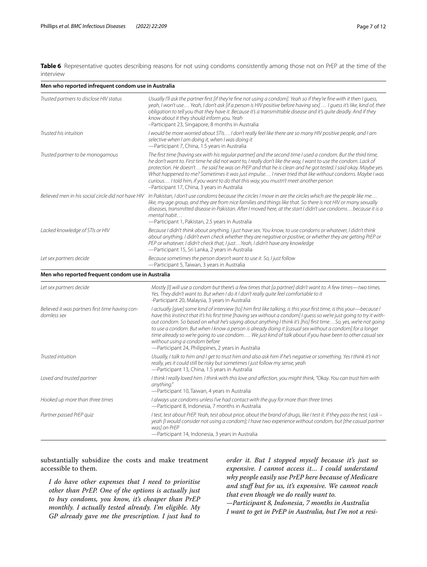<span id="page-6-0"></span>**Table 6** Representative quotes describing reasons for not using condoms consistently among those not on PrEP at the time of the interview

| Men who reported infrequent condom use in Australia            |                                                                                                                                                                                                                                                                                                                                                                                                                                                                                                                                                                                                                                                                                 |  |
|----------------------------------------------------------------|---------------------------------------------------------------------------------------------------------------------------------------------------------------------------------------------------------------------------------------------------------------------------------------------------------------------------------------------------------------------------------------------------------------------------------------------------------------------------------------------------------------------------------------------------------------------------------------------------------------------------------------------------------------------------------|--|
| Trusted partners to disclose HIV status                        | Usually I'll ask the partner first [if they're fine not using a condom]. Yeah so if they're fine with it then I guess,<br>yeah, I won't use Yeah, I don't ask [if a person is HIV positive before having sex]  I guess it's like, kind of, their<br>obligation to tell you that they have it. Because it's a transmittable disease and it's quite deadly. And if they<br>know about it they should inform you. Yeah<br>-Participant 23, Singapore, 8 months in Australia                                                                                                                                                                                                        |  |
| Trusted his intuition                                          | I would be more worried about STIs I don't really feel like there are so many HIV positive people, and I am<br>selective when I am doing it, when I was doing it<br>-Participant 7, China, 1.5 years in Australia                                                                                                                                                                                                                                                                                                                                                                                                                                                               |  |
| Trusted partner to be monogamous                               | The first time [having sex with his regular partner] and the second time I used a condom. But the third time,<br>he don't want to. First time he did not want to, I really don't like the way, I want to use the condom. Lack of<br>protection. He doesn't he said he was on PrEP and that he is clean and he got tested. I said okay. Maybe yes.<br>What happened to me? Sometimes it was just impulse I never tried that like without condoms. Maybe I was<br>curious I told him, if you want to do that this way, you mustn't meet another person<br>-Participant 17, China, 3 years in Australia                                                                            |  |
| Believed men in his social circle did not have HIV             | In Pakistan, I don't use condoms because the circles I move in are the circles which are the people like me<br>like, my age group, and they are from nice families and things like that. So there is not HIV or many sexually<br>diseases, transmitted disease in Pakistan. After I moved here, at the start I didn't use condoms because it is a<br>mental habit<br>-Participant 1, Pakistan, 2.5 years in Australia                                                                                                                                                                                                                                                           |  |
| Lacked knowledge of STIs or HIV                                | Because I didn't think about anything, I just have sex. You know, to use condoms or whatever, I didn't think<br>about anything. I didn't even check whether they are negative or positive, or whether they are getting PrEP or<br>PEP or whatever. I didn't check that, I just Yeah, I didn't have any knowledge<br>-Participant 15, Sri Lanka, 2 years in Australia                                                                                                                                                                                                                                                                                                            |  |
| Let sex partners decide                                        | Because sometimes the person doesn't want to use it. So, I just follow<br>-Participant 5, Taiwan, 3 years in Australia                                                                                                                                                                                                                                                                                                                                                                                                                                                                                                                                                          |  |
| Men who reported frequent condom use in Australia              |                                                                                                                                                                                                                                                                                                                                                                                                                                                                                                                                                                                                                                                                                 |  |
| Let sex partners decide                                        | Mostly [I] will use a condom but there's a few times that [a partner] didn't want to. A few times—two times.<br>Yes. They didn't want to. But when I do it I don't really quite feel comfortable to it<br>-Participant 20, Malaysia, 3 years in Australia                                                                                                                                                                                                                                                                                                                                                                                                                       |  |
| Believed it was partners first time having con-<br>domless sex | I actually [give] some kind of interview [to] him first like talking, is this your first time, is this your—because I<br>have this instinct that it's his first time [having sex without a condom] I quess so we're just going to try it with-<br>out condom. So based on what he's saying about anything I think it's [his] first timeSo, yes, we're not going<br>to use a condom. But when I know a person is already doing it [casual sex without a condom] for a longer<br>time already so we're going to use condom We just kind of talk about if you have been to other casual sex<br>without using a condom before<br>-Participant 24, Philippines, 2 years in Australia |  |
| Trusted intuition                                              | Usually, I talk to him and I get to trust him and also ask him if he's negative or something. Yes I think it's not<br>really, yes it could still be risky but sometimes I just follow my sense, yeah<br>-Participant 13, China, 1.5 years in Australia                                                                                                                                                                                                                                                                                                                                                                                                                          |  |
| Loved and trusted partner                                      | I think I really loved him. I think with this love and affection, you might think, "Okay. You can trust him with<br>anything."<br>-Participant 10, Taiwan, 4 years in Australia                                                                                                                                                                                                                                                                                                                                                                                                                                                                                                 |  |
| Hooked up more than three times                                | I always use condoms unless I've had contact with the guy for more than three times<br>-Participant 8, Indonesia, 7 months in Australia                                                                                                                                                                                                                                                                                                                                                                                                                                                                                                                                         |  |
| Partner passed PrEP quiz                                       | I test, test about PrEP. Yeah, test about price, about the brand of drugs, like I test it. If they pass the test, I ask -<br>yeah [I would consider not using a condom]; I have two experience without condom, but [the casual partner<br>was] on PrEP<br>-Participant 14, Indonesia, 3 years in Australia                                                                                                                                                                                                                                                                                                                                                                      |  |

substantially subsidize the costs and make treatment accessible to them.

*I do have other expenses that I need to prioritise other than PrEP. One of the options is actually just to buy condoms, you know, it's cheaper than PrEP monthly. I actually tested already. I'm eligible. My GP already gave me the prescription. I just had to* 

*order it. But I stopped myself because it's just so expensive. I cannot access it… I could understand why people easily use PrEP here because of Medicare and stuf but for us, it's expensive. We cannot reach that even though we do really want to.*

*—Participant 8, Indonesia, 7 months in Australia I want to get in PrEP in Australia, but I'm not a resi-*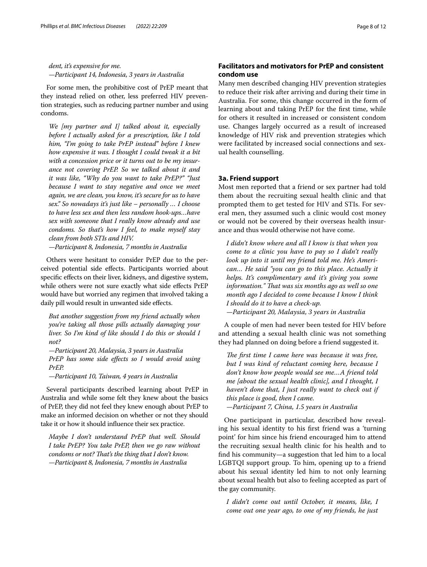*dent, it's expensive for me. —Participant 14, Indonesia, 3 years in Australia*

For some men, the prohibitive cost of PrEP meant that they instead relied on other, less preferred HIV prevention strategies, such as reducing partner number and using condoms.

*We [my partner and I] talked about it, especially before I actually asked for a prescription, like I told him, "I'm going to take PrEP instead" before I knew how expensive it was. I thought I could tweak it a bit with a concession price or it turns out to be my insurance not covering PrEP. So we talked about it and it was like, "Why do you want to take PrEP?" "Just because I want to stay negative and once we meet again, we are clean, you know, it's secure for us to have sex." So nowadays it's just like – personally … I choose to have less sex and then less random hook-ups…have sex with someone that I really know already and use condoms. So that's how I feel, to make myself stay clean from both STIs and HIV.*

*—Participant 8, Indonesia, 7 months in Australia*

Others were hesitant to consider PrEP due to the perceived potential side efects. Participants worried about specific effects on their liver, kidneys, and digestive system, while others were not sure exactly what side efects PrEP would have but worried any regimen that involved taking a daily pill would result in unwanted side effects.

*But another suggestion from my friend actually when you're taking all those pills actually damaging your liver. So I'm kind of like should I do this or should I not?*

*—Participant 20, Malaysia, 3 years in Australia PrEP has some side efects so I would avoid using PrEP.*

*—Participant 10, Taiwan, 4 years in Australia*

Several participants described learning about PrEP in Australia and while some felt they knew about the basics of PrEP, they did not feel they knew enough about PrEP to make an informed decision on whether or not they should take it or how it should infuence their sex practice.

*Maybe I don't understand PrEP that well. Should I take PrEP? You take PrEP, then we go raw without*  condoms or not? That's the thing that I don't know. *—Participant 8, Indonesia, 7 months in Australia*

## **Facilitators and motivators for PrEP and consistent condom use**

Many men described changing HIV prevention strategies to reduce their risk after arriving and during their time in Australia. For some, this change occurred in the form of learning about and taking PrEP for the frst time, while for others it resulted in increased or consistent condom use. Changes largely occurred as a result of increased knowledge of HIV risk and prevention strategies which were facilitated by increased social connections and sexual health counselling.

## **3a. Friend support**

Most men reported that a friend or sex partner had told them about the recruiting sexual health clinic and that prompted them to get tested for HIV and STIs. For several men, they assumed such a clinic would cost money or would not be covered by their overseas health insurance and thus would otherwise not have come.

*I didn't know where and all I know is that when you come to a clinic you have to pay so I didn't really look up into it until my friend told me. He's American… He said "you can go to this place. Actually it helps. It's complimentary and it's giving you some information." Tat was six months ago as well so one month ago I decided to come because I know I think I should do it to have a check-up. —Participant 20, Malaysia, 3 years in Australia*

A couple of men had never been tested for HIV before and attending a sexual health clinic was not something they had planned on doing before a friend suggested it.

The first time I came here was because it was free, *but I was kind of reluctant coming here, because I don't know how people would see me…A friend told me [about the sexual health clinic], and I thought, I haven't done that, I just really want to check out if this place is good, then I came. —Participant 7, China, 1.5 years in Australia*

One participant in particular, described how revealing his sexual identity to his frst friend was a 'turning point' for him since his friend encouraged him to attend the recruiting sexual health clinic for his health and to fnd his community—a suggestion that led him to a local LGBTQI support group. To him, opening up to a friend about his sexual identity led him to not only learning about sexual health but also to feeling accepted as part of the gay community.

*I didn't come out until October, it means, like, I come out one year ago, to one of my friends, he just*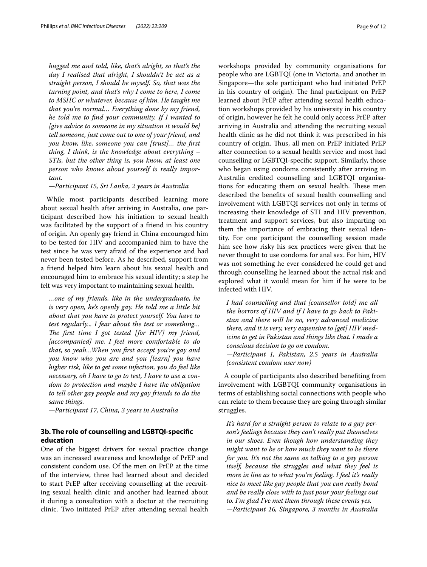*hugged me and told, like, that's alright, so that's the day I realised that alright, I shouldn't be act as a straight person, I should be myself. So, that was the turning point, and that's why I come to here, I come to MSHC or whatever, because of him. He taught me that you're normal… Everything done by my friend, he told me to fnd your community. If I wanted to [give advice to someone in my situation it would be] tell someone, just come out to one of your friend, and you know, like, someone you can [trust]… the frst thing, I think, is the knowledge about everything – STIs, but the other thing is, you know, at least one person who knows about yourself is really important.*

#### *—Participant 15, Sri Lanka, 2 years in Australia*

While most participants described learning more about sexual health after arriving in Australia, one participant described how his initiation to sexual health was facilitated by the support of a friend in his country of origin. An openly gay friend in China encouraged him to be tested for HIV and accompanied him to have the test since he was very afraid of the experience and had never been tested before. As he described, support from a friend helped him learn about his sexual health and encouraged him to embrace his sexual identity; a step he felt was very important to maintaining sexual health.

*…one of my friends, like in the undergraduate, he is very open, he's openly gay. He told me a little bit about that you have to protect yourself. You have to test regularly... I fear about the test or something…*  The first time I got tested [for HIV] my friend, *[accompanied] me. I feel more comfortable to do that, so yeah…When you frst accept you're gay and you know who you are and you [learn] you have higher risk, like to get some infection, you do feel like necessary, oh I have to go to test, I have to use a condom to protection and maybe I have the obligation to tell other gay people and my gay friends to do the same things.*

*—Participant 17, China, 3 years in Australia*

## **3b. The role of counselling and LGBTQI‑specifc education**

One of the biggest drivers for sexual practice change was an increased awareness and knowledge of PrEP and consistent condom use. Of the men on PrEP at the time of the interview, three had learned about and decided to start PrEP after receiving counselling at the recruiting sexual health clinic and another had learned about it during a consultation with a doctor at the recruiting clinic. Two initiated PrEP after attending sexual health workshops provided by community organisations for people who are LGBTQI (one in Victoria, and another in Singapore—the sole participant who had initiated PrEP in his country of origin). The final participant on PrEP learned about PrEP after attending sexual health education workshops provided by his university in his country of origin, however he felt he could only access PrEP after arriving in Australia and attending the recruiting sexual health clinic as he did not think it was prescribed in his country of origin. Thus, all men on PrEP initiated PrEP after connection to a sexual health service and most had counselling or LGBTQI-specifc support. Similarly, those who began using condoms consistently after arriving in Australia credited counselling and LGBTQI organisations for educating them on sexual health. These men described the benefts of sexual health counselling and involvement with LGBTQI services not only in terms of increasing their knowledge of STI and HIV prevention, treatment and support services, but also imparting on them the importance of embracing their sexual identity. For one participant the counselling session made him see how risky his sex practices were given that he never thought to use condoms for anal sex. For him, HIV was not something he ever considered he could get and through counselling he learned about the actual risk and explored what it would mean for him if he were to be infected with HIV.

*I had counselling and that [counsellor told] me all the horrors of HIV and if I have to go back to Pakistan and there will be no, very advanced medicine there, and it is very, very expensive to [get] HIV medicine to get in Pakistan and things like that. I made a conscious decision to go on condom. —Participant 1, Pakistan, 2.5 years in Australia* 

*(consistent condom user now)* A couple of participants also described benefting from

involvement with LGBTQI community organisations in terms of establishing social connections with people who can relate to them because they are going through similar struggles.

*It's hard for a straight person to relate to a gay person's feelings because they can't really put themselves in our shoes. Even though how understanding they might want to be or how much they want to be there for you. It's not the same as talking to a gay person itself, because the struggles and what they feel is more in line as to what you're feeling. I feel it's really nice to meet like gay people that you can really bond and be really close with to just pour your feelings out to. I'm glad I've met them through these events yes. —Participant 16, Singapore, 3 months in Australia*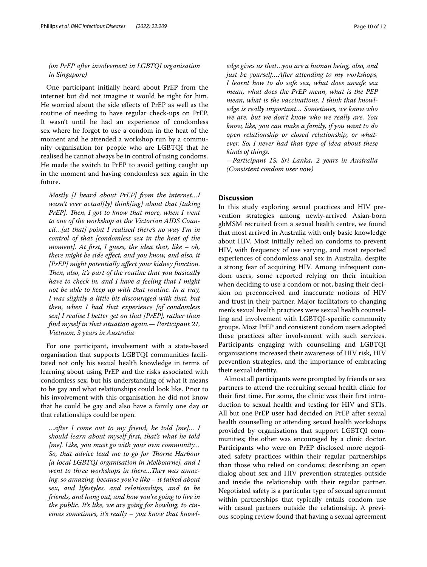## *(on PrEP after involvement in LGBTQI organisation in Singapore)*

One participant initially heard about PrEP from the internet but did not imagine it would be right for him. He worried about the side efects of PrEP as well as the routine of needing to have regular check-ups on PrEP. It wasn't until he had an experience of condomless sex where he forgot to use a condom in the heat of the moment and he attended a workshop run by a community organisation for people who are LGBTQI that he realised he cannot always be in control of using condoms. He made the switch to PrEP to avoid getting caught up in the moment and having condomless sex again in the future.

*Mostly [I heard about PrEP] from the internet…I wasn't ever actual[ly] think[ing] about that [taking PrEP]. Then, I got to know that more, when I went to one of the workshop at the Victorian AIDS Council…[at that] point I realised there's no way I'm in control of that [condomless sex in the heat of the moment]. At frst, I guess, the idea that, like – oh, there might be side efect, and you know, and also, it [PrEP] might potentially afect your kidney function. Then, also, it's part of the routine that you basically have to check in, and I have a feeling that I might not be able to keep up with that routine. In a way, I was slightly a little bit discouraged with that, but then, when I had that experience [of condomless sex] I realise I better get on that [PrEP], rather than fnd myself in that situation again.— Participant 21, Vietnam, 3 years in Australia*

For one participant, involvement with a state-based organisation that supports LGBTQI communities facilitated not only his sexual health knowledge in terms of learning about using PrEP and the risks associated with condomless sex, but his understanding of what it means to be gay and what relationships could look like. Prior to his involvement with this organisation he did not know that he could be gay and also have a family one day or that relationships could be open.

*…after I come out to my friend, he told [me]… I should learn about myself frst, that's what he told [me]. Like, you must go with your own community…* So, that advice lead me to go for Thorne Harbour *[a local LGBTQI organisation in Melbourne], and I*  went to three workshops in there...They was amaz*ing, so amazing, because you're like – it talked about sex, and lifestyles, and relationships, and to be friends, and hang out, and how you're going to live in the public. It's like, we are going for bowling, to cinemas sometimes, it's really – you know that knowl-* *edge gives us that…you are a human being, also, and just be yourself…After attending to my workshops, I learnt how to do safe sex, what does unsafe sex mean, what does the PrEP mean, what is the PEP mean, what is the vaccinations. I think that knowledge is really important… Sometimes, we know who we are, but we don't know who we really are. You know, like, you can make a family, if you want to do open relationship or closed relationship, or whatever. So, I never had that type of idea about these kinds of things.*

*—Participant 15, Sri Lanka, 2 years in Australia (Consistent condom user now)*

## **Discussion**

In this study exploring sexual practices and HIV prevention strategies among newly-arrived Asian-born gbMSM recruited from a sexual health centre, we found that most arrived in Australia with only basic knowledge about HIV. Most initially relied on condoms to prevent HIV, with frequency of use varying, and most reported experiences of condomless anal sex in Australia, despite a strong fear of acquiring HIV. Among infrequent condom users, some reported relying on their intuition when deciding to use a condom or not, basing their decision on preconceived and inaccurate notions of HIV and trust in their partner. Major facilitators to changing men's sexual health practices were sexual health counselling and involvement with LGBTQI-specifc community groups. Most PrEP and consistent condom users adopted these practices after involvement with such services. Participants engaging with counselling and LGBTQI organisations increased their awareness of HIV risk, HIV prevention strategies, and the importance of embracing their sexual identity.

Almost all participants were prompted by friends or sex partners to attend the recruiting sexual health clinic for their frst time. For some, the clinic was their frst introduction to sexual health and testing for HIV and STIs. All but one PrEP user had decided on PrEP after sexual health counselling or attending sexual health workshops provided by organisations that support LGBTQI communities; the other was encouraged by a clinic doctor. Participants who were on PrEP disclosed more negotiated safety practices within their regular partnerships than those who relied on condoms; describing an open dialog about sex and HIV prevention strategies outside and inside the relationship with their regular partner. Negotiated safety is a particular type of sexual agreement within partnerships that typically entails condom use with casual partners outside the relationship. A previous scoping review found that having a sexual agreement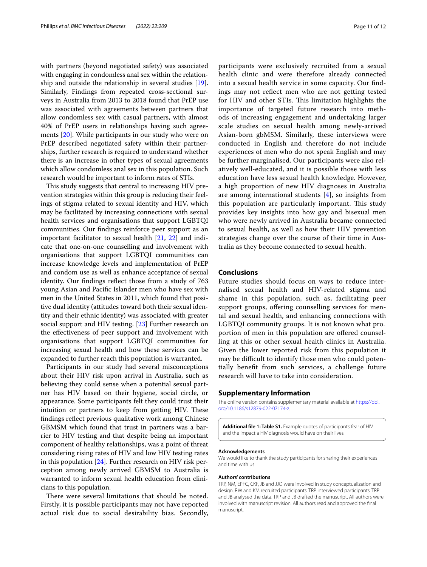with partners (beyond negotiated safety) was associated with engaging in condomless anal sex within the relationship and outside the relationship in several studies [\[19](#page-11-15)]. Similarly, Findings from repeated cross-sectional surveys in Australia from 2013 to 2018 found that PrEP use was associated with agreements between partners that allow condomless sex with casual partners, with almost 40% of PrEP users in relationships having such agreements [[20\]](#page-11-16). While participants in our study who were on PrEP described negotiated safety within their partnerships, further research is required to understand whether there is an increase in other types of sexual agreements which allow condomless anal sex in this population. Such research would be important to inform rates of STIs.

This study suggests that central to increasing HIV prevention strategies within this group is reducing their feelings of stigma related to sexual identity and HIV, which may be facilitated by increasing connections with sexual health services and organisations that support LGBTQI communities. Our fndings reinforce peer support as an important facilitator to sexual health [\[21](#page-11-17), [22\]](#page-11-18) and indicate that one-on-one counselling and involvement with organisations that support LGBTQI communities can increase knowledge levels and implementation of PrEP and condom use as well as enhance acceptance of sexual identity. Our fndings refect those from a study of 763 young Asian and Pacifc Islander men who have sex with men in the United States in 2011, which found that positive dual identity (attitudes toward both their sexual identity and their ethnic identity) was associated with greater social support and HIV testing. [[23\]](#page-11-19) Further research on the efectiveness of peer support and involvement with organisations that support LGBTQI communities for increasing sexual health and how these services can be expanded to further reach this population is warranted.

Participants in our study had several misconceptions about their HIV risk upon arrival in Australia, such as believing they could sense when a potential sexual partner has HIV based on their hygiene, social circle, or appearance. Some participants felt they could trust their intuition or partners to keep from getting HIV. These fndings refect previous qualitative work among Chinese GBMSM which found that trust in partners was a barrier to HIV testing and that despite being an important component of healthy relationships, was a point of threat considering rising rates of HIV and low HIV testing rates in this population [[24\]](#page-11-20). Further research on HIV risk perception among newly arrived GBMSM to Australia is warranted to inform sexual health education from clinicians to this population.

There were several limitations that should be noted. Firstly, it is possible participants may not have reported actual risk due to social desirability bias. Secondly, participants were exclusively recruited from a sexual health clinic and were therefore already connected into a sexual health service in some capacity. Our fndings may not refect men who are not getting tested for HIV and other STIs. This limitation highlights the importance of targeted future research into methods of increasing engagement and undertaking larger scale studies on sexual health among newly-arrived Asian-born gbMSM. Similarly, these interviews were conducted in English and therefore do not include experiences of men who do not speak English and may be further marginalised. Our participants were also relatively well-educated, and it is possible those with less education have less sexual health knowledge. However, a high proportion of new HIV diagnoses in Australia are among international students [\[4](#page-11-3)], so insights from this population are particularly important. This study provides key insights into how gay and bisexual men who were newly arrived in Australia became connected to sexual health, as well as how their HIV prevention strategies change over the course of their time in Australia as they become connected to sexual health.

## **Conclusions**

Future studies should focus on ways to reduce internalised sexual health and HIV-related stigma and shame in this population, such as, facilitating peer support groups, offering counselling services for mental and sexual health, and enhancing connections with LGBTQI community groups. It is not known what proportion of men in this population are ofered counselling at this or other sexual health clinics in Australia. Given the lower reported risk from this population it may be difficult to identify those men who could potentially beneft from such services, a challenge future research will have to take into consideration.

#### **Supplementary Information**

The online version contains supplementary material available at [https://doi.](https://doi.org/10.1186/s12879-022-07174-z) [org/10.1186/s12879-022-07174-z.](https://doi.org/10.1186/s12879-022-07174-z)

<span id="page-10-0"></span>**Additional fle 1: Table S1.** Example quotes of participants' fear of HIV and the impact a HIV diagnosis would have on their lives.

#### **Acknowledgements**

We would like to thank the study participants for sharing their experiences and time with us.

#### **Authors' contributions**

TRP, NM, EPFC, CKF, JB and JJO were involved in study conceptualization and design. RW and KM recruited participants. TRP interviewed participants. TRP and JB analysed the data. TRP and JB drafted the manuscript. All authors were involved with manuscript revision. All authors read and approved the fnal manuscript.